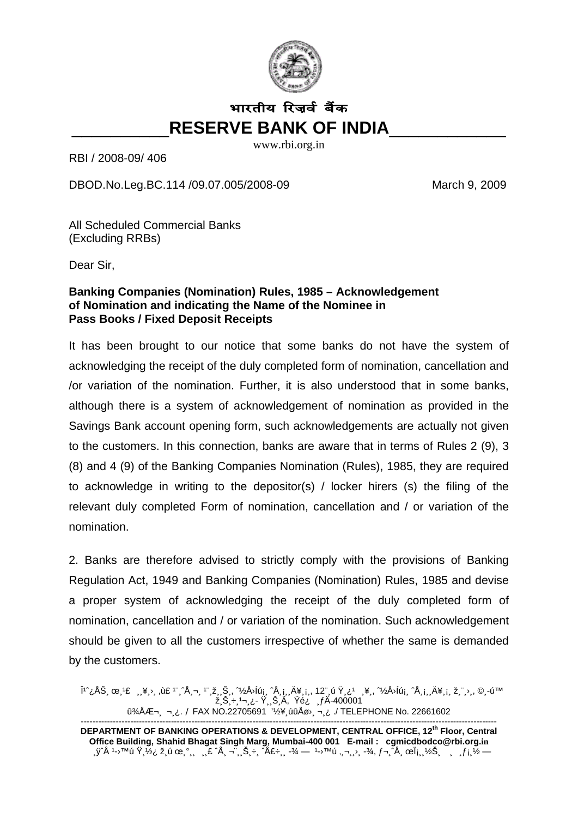

## भारतीय रिज़र्व बैंक **RESERVE BANK OF INDIA**

www.rbi.org.in

RBI / 2008-09/406

DBOD.No.Leg.BC.114 /09.07.005/2008-09

March 9, 2009

All Scheduled Commercial Banks (Excluding RRBs)

Dear Sir.

## Banking Companies (Nomination) Rules, 1985 - Acknowledgement of Nomination and indicating the Name of the Nominee in **Pass Books / Fixed Deposit Receipts**

It has been brought to our notice that some banks do not have the system of acknowledging the receipt of the duly completed form of nomination, cancellation and /or variation of the nomination. Further, it is also understood that in some banks, although there is a system of acknowledgement of nomination as provided in the Savings Bank account opening form, such acknowledgements are actually not given to the customers. In this connection, banks are aware that in terms of Rules 2 (9), 3 (8) and 4 (9) of the Banking Companies Nomination (Rules), 1985, they are required to acknowledge in writing to the depositor(s) / locker hirers (s) the filing of the relevant duly completed Form of nomination, cancellation and / or variation of the nomination.

2. Banks are therefore advised to strictly comply with the provisions of Banking Regulation Act, 1949 and Banking Companies (Nomination) Rules, 1985 and devise a proper system of acknowledging the receipt of the duly completed form of nomination, cancellation and / or variation of the nomination. Such acknowledgement should be given to all the customers irrespective of whether the same is demanded by the customers.

Î<sup>1</sup>^¿ÅЏœ¸<sup>1</sup>£ ¸¸¥¸⟩¸ ,ù£ <sup>1</sup>¨¸^Ÿ¬¸ <sup>1</sup>¨¸ž¸¸Š¸, ^½Å᠈ĺúį, ^Ÿį, ,Ä¥¸į,, 12¨ ú Ÿ¸¿<sup>1</sup> ¸¥,, ^½Å᠈ĺúᏠ^Ÿį,¸Ä¥¸į, ž,¨¸⟩,, ©¸-ú™<br>ޏЏ÷¸1¬¸¿- Ÿ¸¸Š¸Ä, Ÿé¿ ¸ ƒĂ-400001<br>û¾ÅƬ¸ ¬¸¿. / FAX NO.22705691 '½¥¸úûÅø›¸¬¸¿ ./ TELEPHONE No

DEPARTMENT OF BANKING OPERATIONS & DEVELOPMENT, CENTRAL OFFICE, 12<sup>th</sup> Floor, Central Office Building, Shahid Bhagat Singh Marg, Mumbai-400 001 E-mail: cgmicdbodco@rbi.org.in